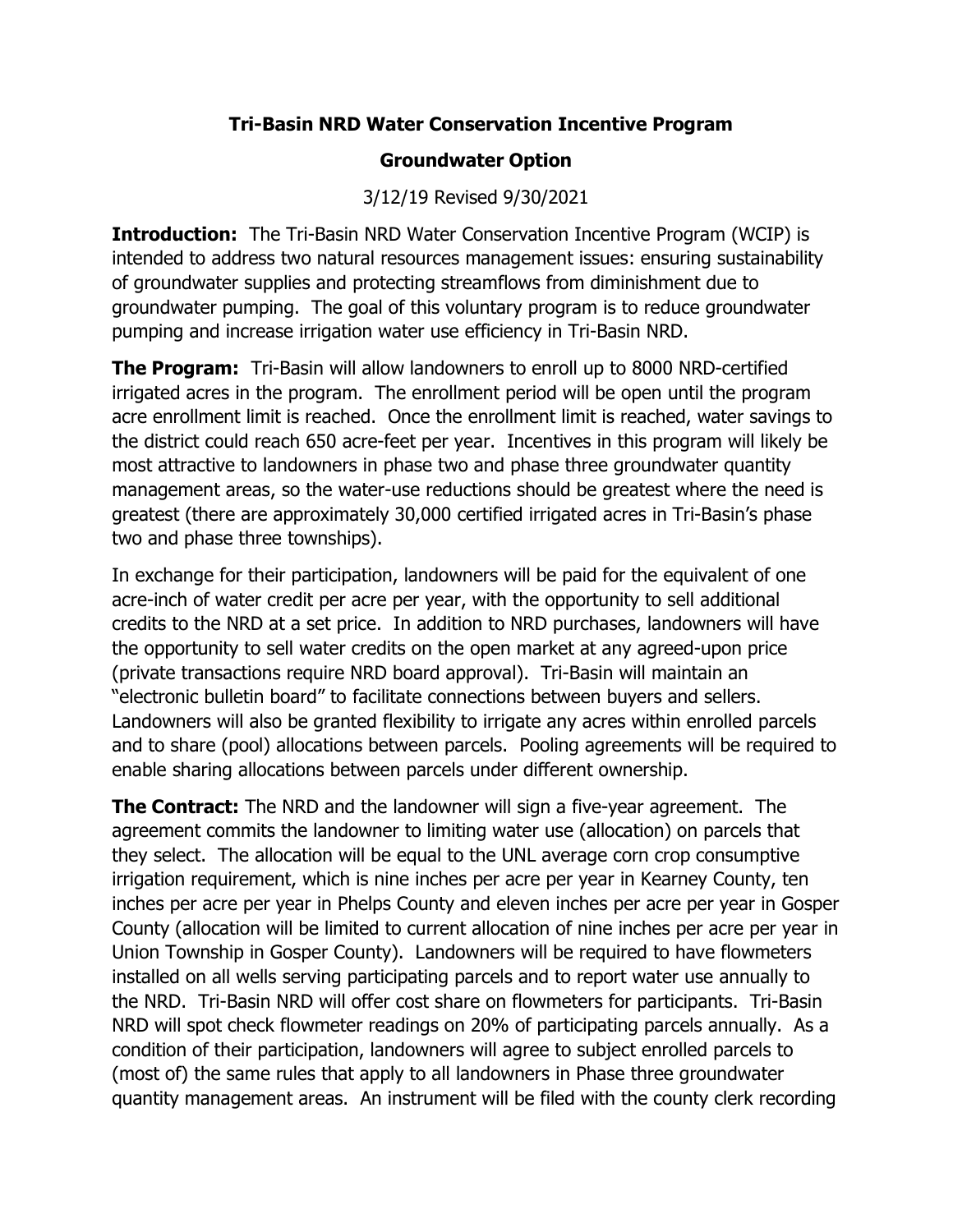## Tri-Basin NRD Water Conservation Incentive Program

## Groundwater Option

## 3/12/19 Revised 9/30/2021

**Introduction:** The Tri-Basin NRD Water Conservation Incentive Program (WCIP) is intended to address two natural resources management issues: ensuring sustainability of groundwater supplies and protecting streamflows from diminishment due to groundwater pumping. The goal of this voluntary program is to reduce groundwater pumping and increase irrigation water use efficiency in Tri-Basin NRD.

**The Program:** Tri-Basin will allow landowners to enroll up to 8000 NRD-certified irrigated acres in the program. The enrollment period will be open until the program acre enrollment limit is reached. Once the enrollment limit is reached, water savings to the district could reach 650 acre-feet per year. Incentives in this program will likely be most attractive to landowners in phase two and phase three groundwater quantity management areas, so the water-use reductions should be greatest where the need is greatest (there are approximately 30,000 certified irrigated acres in Tri-Basin's phase two and phase three townships).

In exchange for their participation, landowners will be paid for the equivalent of one acre-inch of water credit per acre per year, with the opportunity to sell additional credits to the NRD at a set price. In addition to NRD purchases, landowners will have the opportunity to sell water credits on the open market at any agreed-upon price (private transactions require NRD board approval). Tri-Basin will maintain an "electronic bulletin board" to facilitate connections between buyers and sellers. Landowners will also be granted flexibility to irrigate any acres within enrolled parcels and to share (pool) allocations between parcels. Pooling agreements will be required to enable sharing allocations between parcels under different ownership.

**The Contract:** The NRD and the landowner will sign a five-year agreement. The agreement commits the landowner to limiting water use (allocation) on parcels that they select. The allocation will be equal to the UNL average corn crop consumptive irrigation requirement, which is nine inches per acre per year in Kearney County, ten inches per acre per year in Phelps County and eleven inches per acre per year in Gosper County (allocation will be limited to current allocation of nine inches per acre per year in Union Township in Gosper County). Landowners will be required to have flowmeters installed on all wells serving participating parcels and to report water use annually to the NRD. Tri-Basin NRD will offer cost share on flowmeters for participants. Tri-Basin NRD will spot check flowmeter readings on 20% of participating parcels annually. As a condition of their participation, landowners will agree to subject enrolled parcels to (most of) the same rules that apply to all landowners in Phase three groundwater quantity management areas. An instrument will be filed with the county clerk recording